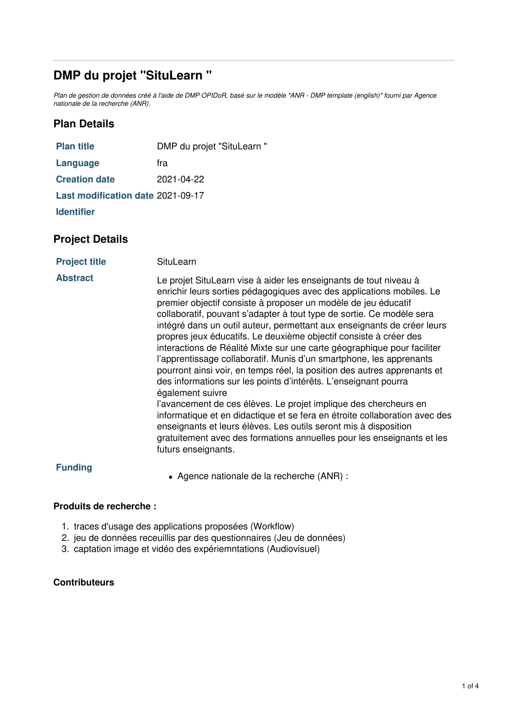# **DMP du projet "SituLearn "**

Plan de gestion de données créé à l'aide de DMP OPIDoR, basé sur le modèle "ANR - DMP template (english)" fourni par Agence *nationale de la recherche (ANR).*

# **Plan Details**

| <b>Plan title</b>                 | DMP du projet "SituLearn" |
|-----------------------------------|---------------------------|
| Language                          | fra                       |
| <b>Creation date</b>              | 2021-04-22                |
| Last modification date 2021-09-17 |                           |
| <b>Identifier</b>                 |                           |

# **Project Details**

| <b>Project title</b> | SituLearn |
|----------------------|-----------|
|----------------------|-----------|

| <b>Abstract</b> | Le projet SituLearn vise à aider les enseignants de tout niveau à<br>enrichir leurs sorties pédagogiques avec des applications mobiles. Le<br>premier objectif consiste à proposer un modèle de jeu éducatif<br>collaboratif, pouvant s'adapter à tout type de sortie. Ce modèle sera<br>intégré dans un outil auteur, permettant aux enseignants de créer leurs<br>propres jeux éducatifs. Le deuxième objectif consiste à créer des<br>interactions de Réalité Mixte sur une carte géographique pour faciliter<br>l'apprentissage collaboratif. Munis d'un smartphone, les apprenants<br>pourront ainsi voir, en temps réel, la position des autres apprenants et<br>des informations sur les points d'intérêts. L'enseignant pourra<br>également suivre<br>l'avancement de ces élèves. Le projet implique des chercheurs en<br>informatique et en didactique et se fera en étroite collaboration avec des<br>enseignants et leurs élèves. Les outils seront mis à disposition<br>gratuitement avec des formations annuelles pour les enseignants et les<br>futurs enseignants. |
|-----------------|-----------------------------------------------------------------------------------------------------------------------------------------------------------------------------------------------------------------------------------------------------------------------------------------------------------------------------------------------------------------------------------------------------------------------------------------------------------------------------------------------------------------------------------------------------------------------------------------------------------------------------------------------------------------------------------------------------------------------------------------------------------------------------------------------------------------------------------------------------------------------------------------------------------------------------------------------------------------------------------------------------------------------------------------------------------------------------------|
|-----------------|-----------------------------------------------------------------------------------------------------------------------------------------------------------------------------------------------------------------------------------------------------------------------------------------------------------------------------------------------------------------------------------------------------------------------------------------------------------------------------------------------------------------------------------------------------------------------------------------------------------------------------------------------------------------------------------------------------------------------------------------------------------------------------------------------------------------------------------------------------------------------------------------------------------------------------------------------------------------------------------------------------------------------------------------------------------------------------------|

#### **Funding**

Agence nationale de la recherche (ANR) :

#### **Produits de recherche :**

- 1. traces d'usage des applications proposées (Workflow)
- 2. jeu de données receuillis par des questionnaires (Jeu de données)
- 3. captation image et vidéo des expériemntations (Audiovisuel)

#### **Contributeurs**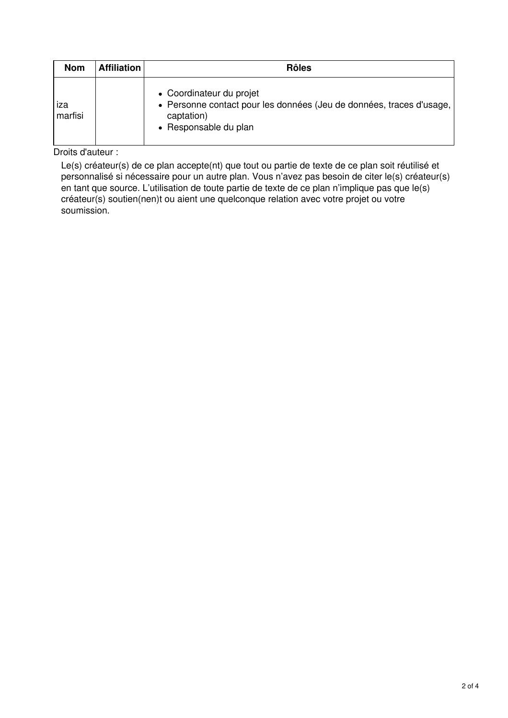| <b>Nom</b>     | <b>Affiliation</b> | <b>Rôles</b>                                                                                                                            |
|----------------|--------------------|-----------------------------------------------------------------------------------------------------------------------------------------|
| ıza<br>marfisi |                    | • Coordinateur du projet<br>• Personne contact pour les données (Jeu de données, traces d'usage,<br>captation)<br>• Responsable du plan |

Droits d'auteur :

Le(s) créateur(s) de ce plan accepte(nt) que tout ou partie de texte de ce plan soit réutilisé et personnalisé si nécessaire pour un autre plan. Vous n'avez pas besoin de citer le(s) créateur(s) en tant que source. L'utilisation de toute partie de texte de ce plan n'implique pas que le(s) créateur(s) soutien(nen)t ou aient une quelconque relation avec votre projet ou votre soumission.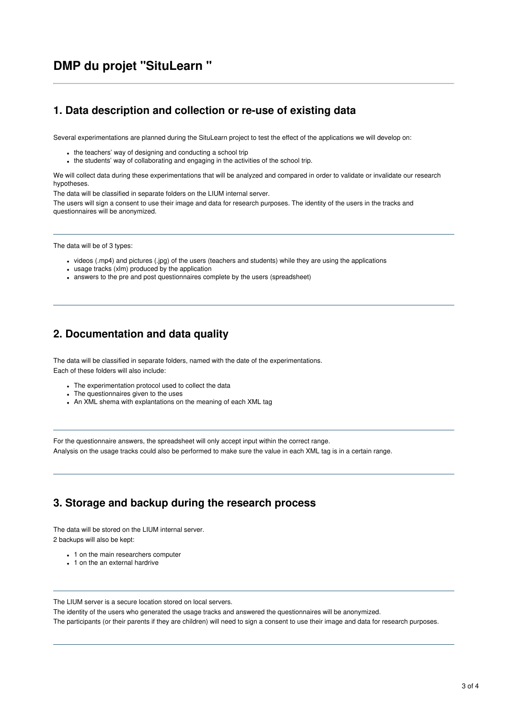# **DMP du projet "SituLearn "**

#### **1. Data description and collection or re-use of existing data**

Several experimentations are planned during the SituLearn project to test the effect of the applications we will develop on:

- the teachers' way of designing and conducting a school trip
- the students' way of collaborating and engaging in the activities of the school trip.

We will collect data during these experimentations that will be analyzed and compared in order to validate or invalidate our research hypotheses.

The data will be classified in separate folders on the LIUM internal server.

The users will sign a consent to use their image and data for research purposes. The identity of the users in the tracks and questionnaires will be anonymized.

The data will be of 3 types:

- videos (.mp4) and pictures (.jpg) of the users (teachers and students) while they are using the applications
- usage tracks (xlm) produced by the application
- answers to the pre and post questionnaires complete by the users (spreadsheet)

#### **2. Documentation and data quality**

The data will be classified in separate folders, named with the date of the experimentations. Each of these folders will also include:

- The experimentation protocol used to collect the data
- The questionnaires given to the uses
- An XML shema with explantations on the meaning of each XML tag

For the questionnaire answers, the spreadsheet will only accept input within the correct range. Analysis on the usage tracks could also be performed to make sure the value in each XML tag is in a certain range.

## **3. Storage and backup during the research process**

The data will be stored on the LIUM internal server. 2 backups will also be kept:

- 1 on the main researchers computer
- 1 on the an external hardrive

The LIUM server is a secure location stored on local servers.

The identity of the users who generated the usage tracks and answered the questionnaires will be anonymized. The participants (or their parents if they are children) will need to sign a consent to use their image and data for research purposes.